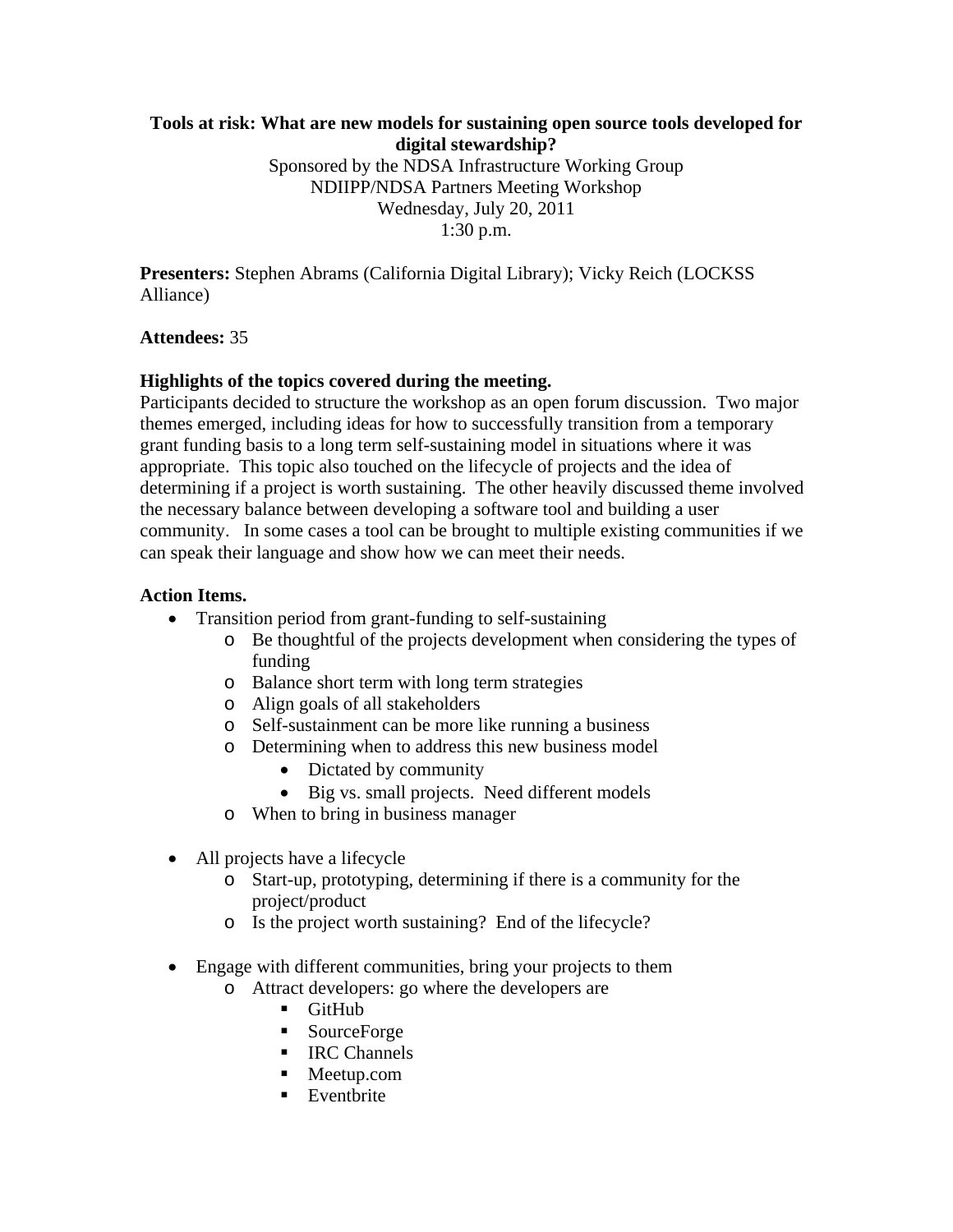## **Tools at risk: What are new models for sustaining open source tools developed for digital stewardship?**

Sponsored by the NDSA Infrastructure Working Group NDIIPP/NDSA Partners Meeting Workshop Wednesday, July 20, 2011 1:30 p.m.

**Presenters:** Stephen Abrams (California Digital Library); Vicky Reich (LOCKSS Alliance)

### **Attendees:** 35

## **Highlights of the topics covered during the meeting.**

Participants decided to structure the workshop as an open forum discussion. Two major themes emerged, including ideas for how to successfully transition from a temporary grant funding basis to a long term self-sustaining model in situations where it was appropriate. This topic also touched on the lifecycle of projects and the idea of determining if a project is worth sustaining. The other heavily discussed theme involved the necessary balance between developing a software tool and building a user community. In some cases a tool can be brought to multiple existing communities if we can speak their language and show how we can meet their needs.

### **Action Items.**

- Transition period from grant-funding to self-sustaining
	- o Be thoughtful of the projects development when considering the types of funding
	- o Balance short term with long term strategies
	- o Align goals of all stakeholders
	- o Self-sustainment can be more like running a business
	- o Determining when to address this new business model
		- Dictated by community
		- Big vs. small projects. Need different models
	- o When to bring in business manager
- All projects have a lifecycle
	- o Start-up, prototyping, determining if there is a community for the project/product
	- o Is the project worth sustaining? End of the lifecycle?
- Engage with different communities, bring your projects to them
	- o Attract developers: go where the developers are
		- **GitHub**
		- SourceForge
		- **IRC Channels**
		- Meetup.com
		- **Eventbrite**